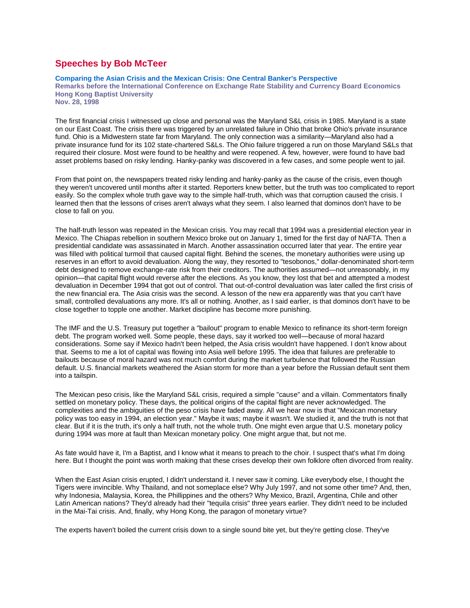## **Speeches by Bob McTeer**

## **Comparing the Asian Crisis and the Mexican Crisis: One Central Banker's Perspective**

**Remarks before the International Conference on Exchange Rate Stability and Currency Board Economics Hong Kong Baptist University**

**Nov. 28, 1998**

The first financial crisis I witnessed up close and personal was the Maryland S&L crisis in 1985. Maryland is a state on our East Coast. The crisis there was triggered by an unrelated failure in Ohio that broke Ohio's private insurance fund. Ohio is a Midwestern state far from Maryland. The only connection was a similarity—Maryland also had a private insurance fund for its 102 state-chartered S&Ls. The Ohio failure triggered a run on those Maryland S&Ls that required their closure. Most were found to be healthy and were reopened. A few, however, were found to have bad asset problems based on risky lending. Hanky-panky was discovered in a few cases, and some people went to jail.

From that point on, the newspapers treated risky lending and hanky-panky as the cause of the crisis, even though they weren't uncovered until months after it started. Reporters knew better, but the truth was too complicated to report easily. So the complex whole truth gave way to the simple half-truth, which was that corruption caused the crisis. I learned then that the lessons of crises aren't always what they seem. I also learned that dominos don't have to be close to fall on you.

The half-truth lesson was repeated in the Mexican crisis. You may recall that 1994 was a presidential election year in Mexico. The Chiapas rebellion in southern Mexico broke out on January 1, timed for the first day of NAFTA. Then a presidential candidate was assassinated in March. Another assassination occurred later that year. The entire year was filled with political turmoil that caused capital flight. Behind the scenes, the monetary authorities were using up reserves in an effort to avoid devaluation. Along the way, they resorted to "tesobonos," dollar-denominated short-term debt designed to remove exchange-rate risk from their creditors. The authorities assumed—not unreasonably, in my opinion—that capital flight would reverse after the elections. As you know, they lost that bet and attempted a modest devaluation in December 1994 that got out of control. That out-of-control devaluation was later called the first crisis of the new financial era. The Asia crisis was the second. A lesson of the new era apparently was that you can't have small, controlled devaluations any more. It's all or nothing. Another, as I said earlier, is that dominos don't have to be close together to topple one another. Market discipline has become more punishing.

The IMF and the U.S. Treasury put together a "bailout" program to enable Mexico to refinance its short-term foreign debt. The program worked well. Some people, these days, say it worked too well—because of moral hazard considerations. Some say if Mexico hadn't been helped, the Asia crisis wouldn't have happened. I don't know about that. Seems to me a lot of capital was flowing into Asia well before 1995. The idea that failures are preferable to bailouts because of moral hazard was not much comfort during the market turbulence that followed the Russian default. U.S. financial markets weathered the Asian storm for more than a year before the Russian default sent them into a tailspin.

The Mexican peso crisis, like the Maryland S&L crisis, required a simple "cause" and a villain. Commentators finally settled on monetary policy. These days, the political origins of the capital flight are never acknowledged. The complexities and the ambiguities of the peso crisis have faded away. All we hear now is that "Mexican monetary policy was too easy in 1994, an election year." Maybe it was; maybe it wasn't. We studied it, and the truth is not that clear. But if it is the truth, it's only a half truth, not the whole truth. One might even argue that U.S. monetary policy during 1994 was more at fault than Mexican monetary policy. One might argue that, but not me.

As fate would have it, I'm a Baptist, and I know what it means to preach to the choir. I suspect that's what I'm doing here. But I thought the point was worth making that these crises develop their own folklore often divorced from reality.

When the East Asian crisis erupted, I didn't understand it. I never saw it coming. Like everybody else, I thought the Tigers were invincible. Why Thailand, and not someplace else? Why July 1997, and not some other time? And, then, why Indonesia, Malaysia, Korea, the Phillippines and the others? Why Mexico, Brazil, Argentina, Chile and other Latin American nations? They'd already had their "tequila crisis" three years earlier. They didn't need to be included in the Mai-Tai crisis. And, finally, why Hong Kong, the paragon of monetary virtue?

The experts haven't boiled the current crisis down to a single sound bite yet, but they're getting close. They've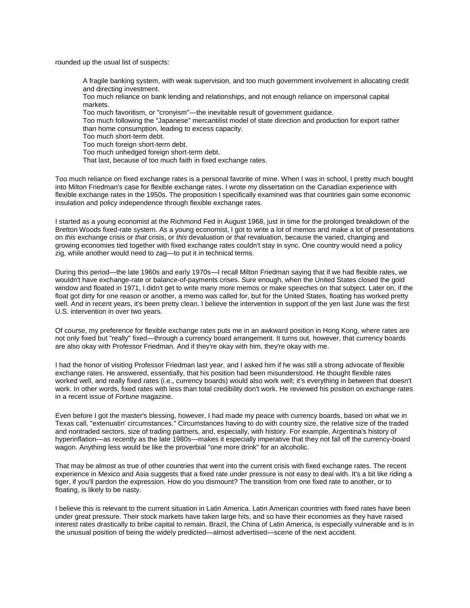rounded up the usual list of suspects:

A fragile banking system, with weak supervision, and too much government involvement in allocating credit and directing investment.

Too much reliance on bank lending and relationships, and not enough reliance on impersonal capital markets.

Too much favoritism, or "cronyism"—the inevitable result of government guidance.

Too much following the "Japanese" mercantilist model of state direction and production for export rather than home consumption, leading to excess capacity.

Too much short-term debt.

Too much foreign short-term debt.

Too much unhedged foreign short-term debt.

That last, because of too much faith in fixed exchange rates.

Too much reliance on fixed exchange rates is a personal favorite of mine. When I was in school, I pretty much bought into Milton Friedman's case for flexible exchange rates. I wrote my dissertation on the Canadian experience with flexible exchange rates in the 1950s. The proposition I specifically examined was that countries gain some economic insulation and policy independence through flexible exchange rates.

I started as a young economist at the Richmond Fed in August 1968, just in time for the prolonged breakdown of the Bretton Woods fixed-rate system. As a young economist, I got to write a lot of memos and make a lot of presentations on *this* exchange crisis or *that* crisis, or *this* devaluation or *that* revaluation, because the varied, changing and growing economies tied together with fixed exchange rates couldn't stay in sync. One country would need a policy zig, while another would need to zag—to put it in technical terms.

During this period—the late 1960s and early 1970s—I recall Milton Friedman saying that if we had flexible rates, we wouldn't have exchange-rate or balance-of-payments crises. Sure enough, when the United States closed the gold window and floated in 1971, I didn't get to write many more memos or make speeches on that subject. Later on, if the float got dirty for one reason or another, a memo was called for, but for the United States, floating has worked pretty well. And in recent years, it's been pretty clean. I believe the intervention in support of the yen last June was the first U.S. intervention in over two years.

Of course, my preference for flexible exchange rates puts me in an awkward position in Hong Kong, where rates are not only fixed but "really" fixed—through a currency board arrangement. It turns out, however, that currency boards are also okay with Professor Friedman. And if they're okay with him, they're okay with me.

I had the honor of visiting Professor Friedman last year, and I asked him if he was still a strong advocate of flexible exchange rates. He answered, essentially, that his position had been misunderstood. He thought flexible rates worked well, and really fixed rates (i.e., currency boards) would also work well; it's everything in between that doesn't work. In other words, fixed rates with less than total credibility don't work. He reviewed his position on exchange rates in a recent issue of *Fortune* magazine.

Even before I got the master's blessing, however, I had made my peace with currency boards, based on what we in Texas call, "extenuatin' circumstances." Circumstances having to do with country size, the relative size of the traded and nontraded sectors, size of trading partners, and, especially, with history. For example, Argentina's history of hyperinflation—as recently as the late 1980s—makes it especially imperative that they not fall off the currency-board wagon. Anything less would be like the proverbial "one more drink" for an alcoholic.

That may be almost as true of other countries that went into the current crisis with fixed exchange rates. The recent experience in Mexico and Asia suggests that a fixed rate under pressure is not easy to deal with. It's a bit like riding a tiger, if you'll pardon the expression. How do you dismount? The transition from one fixed rate to another, or to floating, is likely to be nasty.

I believe this is relevant to the current situation in Latin America. Latin American countries with fixed rates have been under great pressure. Their stock markets have taken large hits, and so have their economies as they have raised interest rates drastically to bribe capital to remain. Brazil, the China of Latin America, is especially vulnerable and is in the unusual position of being the widely predicted—almost advertised—scene of the next accident.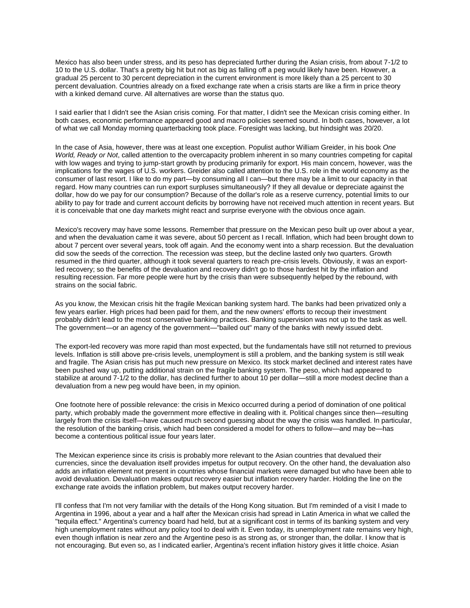Mexico has also been under stress, and its peso has depreciated further during the Asian crisis, from about 7-1/2 to 10 to the U.S. dollar. That's a pretty big hit but not as big as falling off a peg would likely have been. However, a gradual 25 percent to 30 percent depreciation in the current environment is more likely than a 25 percent to 30 percent devaluation. Countries already on a fixed exchange rate when a crisis starts are like a firm in price theory with a kinked demand curve. All alternatives are worse than the status quo.

I said earlier that I didn't see the Asian crisis coming. For that matter, I didn't see the Mexican crisis coming either. In both cases, economic performance appeared good and macro policies seemed sound. In both cases, however, a lot of what we call Monday morning quarterbacking took place. Foresight was lacking, but hindsight was 20/20.

In the case of Asia, however, there was at least one exception. Populist author William Greider, in his book *One World, Ready or Not*, called attention to the overcapacity problem inherent in so many countries competing for capital with low wages and trying to jump-start growth by producing primarily for export. His main concern, however, was the implications for the wages of U.S. workers. Greider also called attention to the U.S. role in the world economy as the consumer of last resort. I like to do my part—by consuming all I can—but there may be a limit to our capacity in that regard. How many countries can run export surpluses simultaneously? If they all devalue or depreciate against the dollar, how do we pay for our consumption? Because of the dollar's role as a reserve currency, potential limits to our ability to pay for trade and current account deficits by borrowing have not received much attention in recent years. But it is conceivable that one day markets might react and surprise everyone with the obvious once again.

Mexico's recovery may have some lessons. Remember that pressure on the Mexican peso built up over about a year, and when the devaluation came it was severe, about 50 percent as I recall. Inflation, which had been brought down to about 7 percent over several years, took off again. And the economy went into a sharp recession. But the devaluation did sow the seeds of the correction. The recession was steep, but the decline lasted only two quarters. Growth resumed in the third quarter, although it took several quarters to reach pre-crisis levels. Obviously, it was an exportled recovery; so the benefits of the devaluation and recovery didn't go to those hardest hit by the inflation and resulting recession. Far more people were hurt by the crisis than were subsequently helped by the rebound, with strains on the social fabric.

As you know, the Mexican crisis hit the fragile Mexican banking system hard. The banks had been privatized only a few years earlier. High prices had been paid for them, and the new owners' efforts to recoup their investment probably didn't lead to the most conservative banking practices. Banking supervision was not up to the task as well. The government—or an agency of the government—"bailed out" many of the banks with newly issued debt.

The export-led recovery was more rapid than most expected, but the fundamentals have still not returned to previous levels. Inflation is still above pre-crisis levels, unemployment is still a problem, and the banking system is still weak and fragile. The Asian crisis has put much new pressure on Mexico. Its stock market declined and interest rates have been pushed way up, putting additional strain on the fragile banking system. The peso, which had appeared to stabilize at around 7-1/2 to the dollar, has declined further to about 10 per dollar—still a more modest decline than a devaluation from a new peg would have been, in my opinion.

One footnote here of possible relevance: the crisis in Mexico occurred during a period of domination of one political party, which probably made the government more effective in dealing with it. Political changes since then—resulting largely from the crisis itself—have caused much second guessing about the way the crisis was handled. In particular, the resolution of the banking crisis, which had been considered a model for others to follow—and may be—has become a contentious political issue four years later.

The Mexican experience since its crisis is probably more relevant to the Asian countries that devalued their currencies, since the devaluation itself provides impetus for output recovery. On the other hand, the devaluation also adds an inflation element not present in countries whose financial markets were damaged but who have been able to avoid devaluation. Devaluation makes output recovery easier but inflation recovery harder. Holding the line on the exchange rate avoids the inflation problem, but makes output recovery harder.

I'll confess that I'm not very familiar with the details of the Hong Kong situation. But I'm reminded of a visit I made to Argentina in 1996, about a year and a half after the Mexican crisis had spread in Latin America in what we called the "tequila effect." Argentina's currency board had held, but at a significant cost in terms of its banking system and very high unemployment rates without any policy tool to deal with it. Even today, its unemployment rate remains very high, even though inflation is near zero and the Argentine peso is as strong as, or stronger than, the dollar. I know that is not encouraging. But even so, as I indicated earlier, Argentina's recent inflation history gives it little choice. Asian